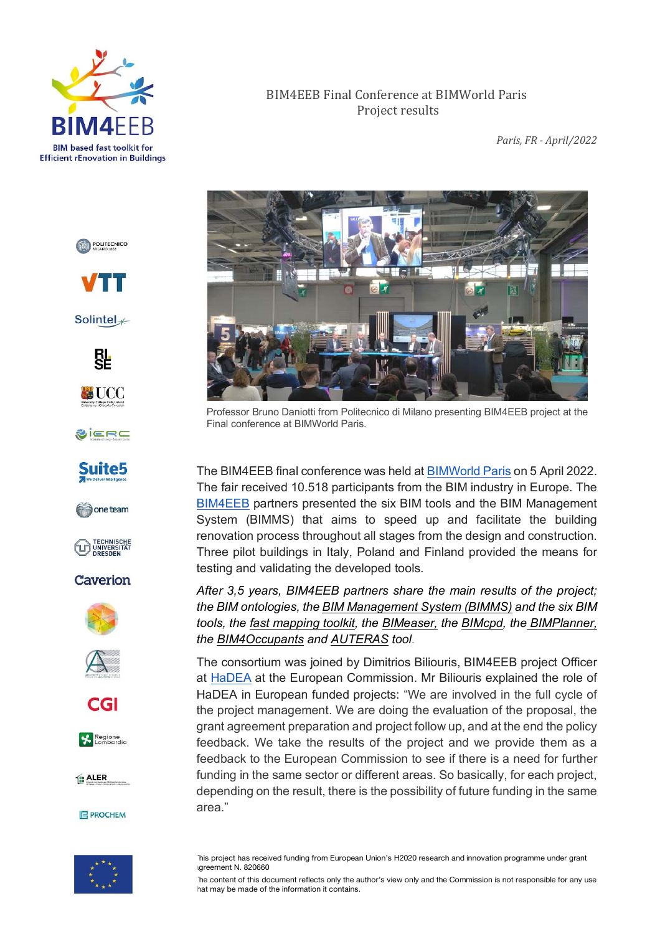

*Paris, FR - April/2022*



Professor Bruno Daniotti from Politecnico di Milano presenting BIM4EEB project at the Final conference at BIMWorld Paris.

The BIM4EEB final conference was held at BIMWorld Paris on 5 April 2022. The fair received 10.518 participants from the BIM industry in Europe. The BIM4EEB partners presented the six BIM tools and the BIM Management System (BIMMS) that aims to speed up and facilitate the building renovation process throughout all stages from the design and construction. Three pilot buildings in Italy, Poland and Finland provided the means for testing and validating the developed tools.

*After 3,5 years, BIM4EEB partners share the main results of the project; the BIM ontologies, the BIM Management System (BIMMS) and the six BIM tools, the fast mapping toolkit, the BIMeaser, the BIMcpd, the BIMPlanner, the BIM4Occupants and AUTERAS tool.*

The consortium was joined by Dimitrios Biliouris, BIM4EEB project Officer at HaDEA at the European Commission. Mr Biliouris explained the role of HaDEA in European funded projects: "We are involved in the full cycle of the project management. We are doing the evaluation of the proposal, the grant agreement preparation and project follow up, and at the end the policy feedback. We take the results of the project and we provide them as a feedback to the European Commission to see if there is a need for further funding in the same sector or different areas. So basically, for each project, depending on the result, there is the possibility of future funding in the same area."



This project has received funding from European Union's H2020 research and innovation programme under grant greement N. 820660

The content of this document reflects only the author's view only and the Commission is not responsible for any use hat may be made of the information it contains.

POLITECNICO



Solintel<sub>\*</sub>





SIERC







# Caverion







Regione

1: ALER

**E PROCHEM**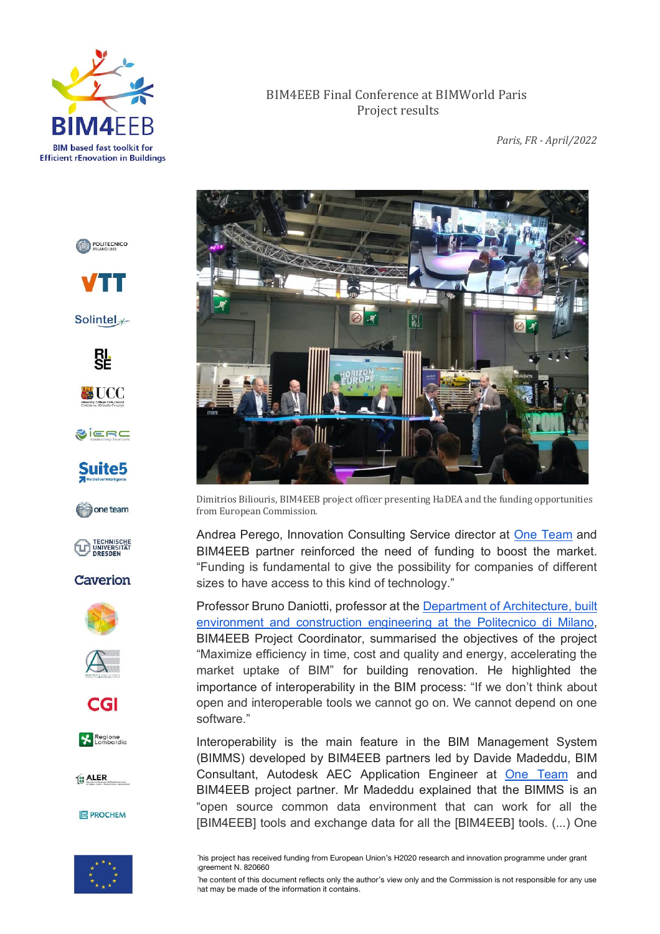

*Paris, FR - April/2022*



Dimitrios Biliouris, BIM4EEB project officer presenting HaDEA and the funding opportunities from European Commission*.*

Andrea Perego, Innovation Consulting Service director at One Team and BIM4EEB partner reinforced the need of funding to boost the market. "Funding is fundamental to give the possibility for companies of different sizes to have access to this kind of technology."

Professor Bruno Daniotti, professor at the Department of Architecture, built environment and construction engineering at the Politecnico di Milano, BIM4EEB Project Coordinator, summarised the objectives of the project "Maximize efficiency in time, cost and quality and energy, accelerating the market uptake of BIM" for building renovation. He highlighted the importance of interoperability in the BIM process: "If we don't think about open and interoperable tools we cannot go on. We cannot depend on one software."

Interoperability is the main feature in the BIM Management System (BIMMS) developed by BIM4EEB partners led by Davide Madeddu, BIM Consultant, Autodesk AEC Application Engineer at One Team and BIM4EEB project partner. Mr Madeddu explained that the BIMMS is an "open source common data environment that can work for all the [BIM4EEB] tools and exchange data for all the [BIM4EEB] tools. (...) One



This project has received funding from European Union's H2020 research and innovation programme under grant greement N. 820660

The content of this document reflects only the author's view only and the Commission is not responsible for any use hat may be made of the information it contains.





Solintel<sub>\*</sub>





SIERC



one team



Caverion







Regione

1: ALER

**E PROCHEM**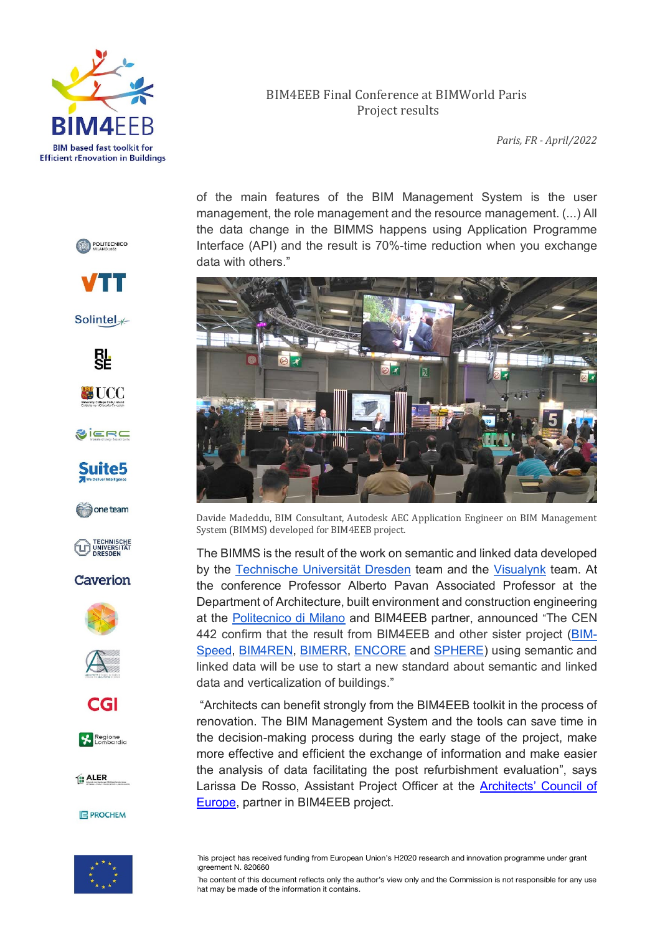

*Paris, FR - April/2022*

of the main features of the BIM Management System is the user management, the role management and the resource management. (...) All the data change in the BIMMS happens using Application Programme Interface (API) and the result is 70%-time reduction when you exchange data with others."



Davide Madeddu, BIM Consultant, Autodesk AEC Application Engineer on BIM Management System (BIMMS) developed for BIM4EEB project.

The BIMMS is the result of the work on semantic and linked data developed by the Technische Universität Dresden team and the Visualynk team. At the conference Professor Alberto Pavan Associated Professor at the Department of Architecture, built environment and construction engineering at the Politecnico di Milano and BIM4EEB partner, announced "The CEN 442 confirm that the result from BIM4EEB and other sister project (BIM-Speed, BIM4REN, BIMERR, ENCORE and SPHERE) using semantic and linked data will be use to start a new standard about semantic and linked data and verticalization of buildings."

"Architects can benefit strongly from the BIM4EEB toolkit in the process of renovation. The BIM Management System and the tools can save time in the decision-making process during the early stage of the project, make more effective and efficient the exchange of information and make easier the analysis of data facilitating the post refurbishment evaluation", says Larissa De Rosso, Assistant Project Officer at the Architects' Council of Europe, partner in BIM4EEB project.



This project has received funding from European Union's H2020 research and innovation programme under grant greement N. 820660

The content of this document reflects only the author's view only and the Commission is not responsible for any use hat may be made of the information it contains.





Solintel<sub>\*</sub>





SIERC







Caverion









1: ALER

**E PROCHEM**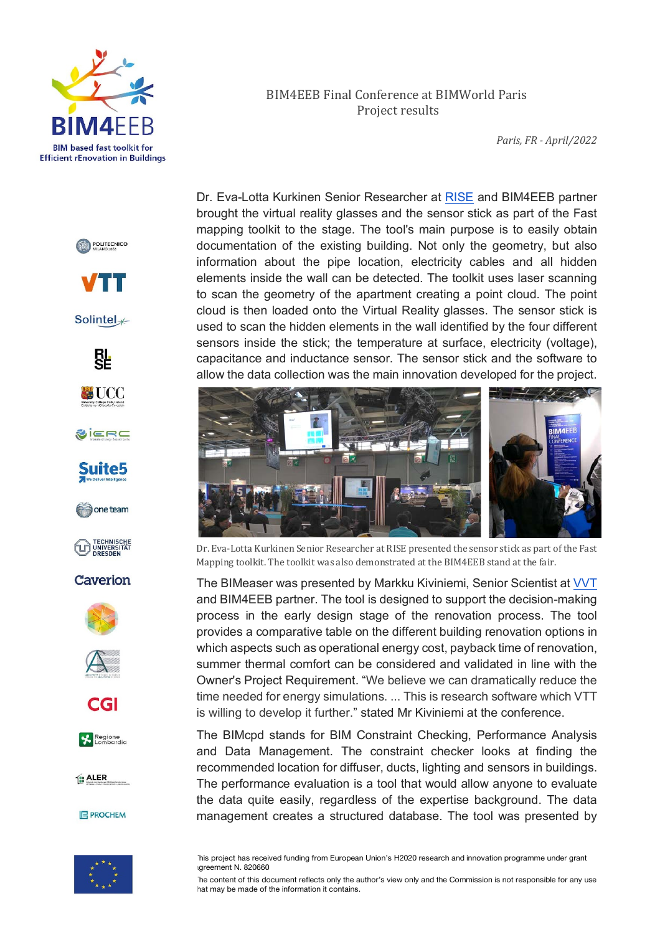

POLITECNICO

**/TT** 

Solintel<sub>\*</sub>

ŖĻ

**WUCC** 

SIERC

Suite5

one team

TECHNISCHE<br>UNIVERSITÄT<br>DRESDEN

Caverion

CGI

Regione

1: ALER

#### BIM4EEB Final Conference at BIMWorld Paris Project results

*Paris, FR - April/2022*

Dr. Eva-Lotta Kurkinen Senior Researcher at RISE and BIM4EEB partner brought the virtual reality glasses and the sensor stick as part of the Fast mapping toolkit to the stage. The tool's main purpose is to easily obtain documentation of the existing building. Not only the geometry, but also information about the pipe location, electricity cables and all hidden elements inside the wall can be detected. The toolkit uses laser scanning to scan the geometry of the apartment creating a point cloud. The point cloud is then loaded onto the Virtual Reality glasses. The sensor stick is used to scan the hidden elements in the wall identified by the four different sensors inside the stick; the temperature at surface, electricity (voltage), capacitance and inductance sensor. The sensor stick and the software to allow the data collection was the main innovation developed for the project.



Dr. Eva-Lotta Kurkinen Senior Researcher at RISE presented the sensor stick as part of the Fast Mapping toolkit. The toolkit was also demonstrated at the BIM4EEB stand at the fair.

The BIMeaser was presented by Markku Kiviniemi, Senior Scientist at VVT and BIM4EEB partner. The tool is designed to support the decision-making process in the early design stage of the renovation process. The tool provides a comparative table on the different building renovation options in which aspects such as operational energy cost, payback time of renovation, summer thermal comfort can be considered and validated in line with the Owner's Project Requirement. "We believe we can dramatically reduce the time needed for energy simulations. ... This is research software which VTT is willing to develop it further." stated Mr Kiviniemi at the conference.

The BIMcpd stands for BIM Constraint Checking, Performance Analysis and Data Management. The constraint checker looks at finding the recommended location for diffuser, ducts, lighting and sensors in buildings. The performance evaluation is a tool that would allow anyone to evaluate the data quite easily, regardless of the expertise background. The data management creates a structured database. The tool was presented by



**E PROCHEM** 

This project has received funding from European Union's H2020 research and innovation programme under grant agreement N. 820660

The content of this document reflects only the author's view only and the Commission is not responsible for any use hat may be made of the information it contains.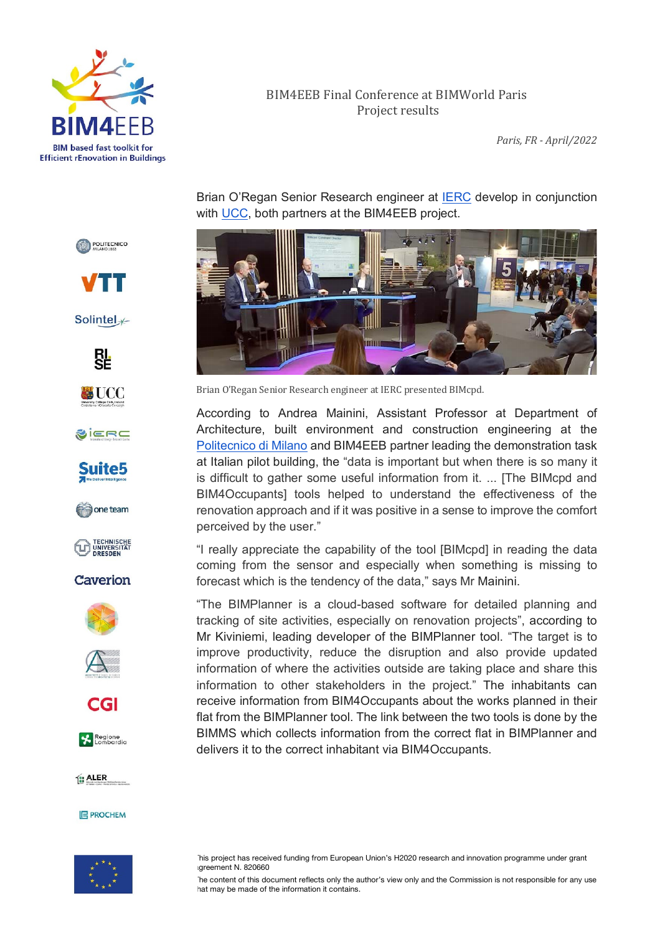

*Paris, FR - April/2022*

Brian O'Regan Senior Research engineer at IERC develop in conjunction with UCC, both partners at the BIM4EEB project.



Brian O'Regan Senior Research engineer at IERC presented BIMcpd.

According to Andrea Mainini, Assistant Professor at Department of Architecture, built environment and construction engineering at the Politecnico di Milano and BIM4EEB partner leading the demonstration task at Italian pilot building, the "data is important but when there is so many it is difficult to gather some useful information from it. ... [The BIMcpd and BIM4Occupants] tools helped to understand the effectiveness of the renovation approach and if it was positive in a sense to improve the comfort perceived by the user."

"I really appreciate the capability of the tool [BIMcpd] in reading the data coming from the sensor and especially when something is missing to forecast which is the tendency of the data," says Mr Mainini.

"The BIMPlanner is a cloud-based software for detailed planning and tracking of site activities, especially on renovation projects", according to Mr Kiviniemi, leading developer of the BIMPlanner tool. "The target is to improve productivity, reduce the disruption and also provide updated information of where the activities outside are taking place and share this information to other stakeholders in the project." The inhabitants can receive information from BIM4Occupants about the works planned in their flat from the BIMPlanner tool. The link between the two tools is done by the BIMMS which collects information from the correct flat in BIMPlanner and delivers it to the correct inhabitant via BIM4Occupants.



The content of this document reflects only the author's view only and the Commission is not responsible for any use hat may be made of the information it contains.

**/TT** 

POLITECNICO

Solintel<sub>\*</sub>





SIERC



one team



# Caverion









1: ALER



This project has received funding from European Union's H2020 research and innovation programme under grant greement N. 820660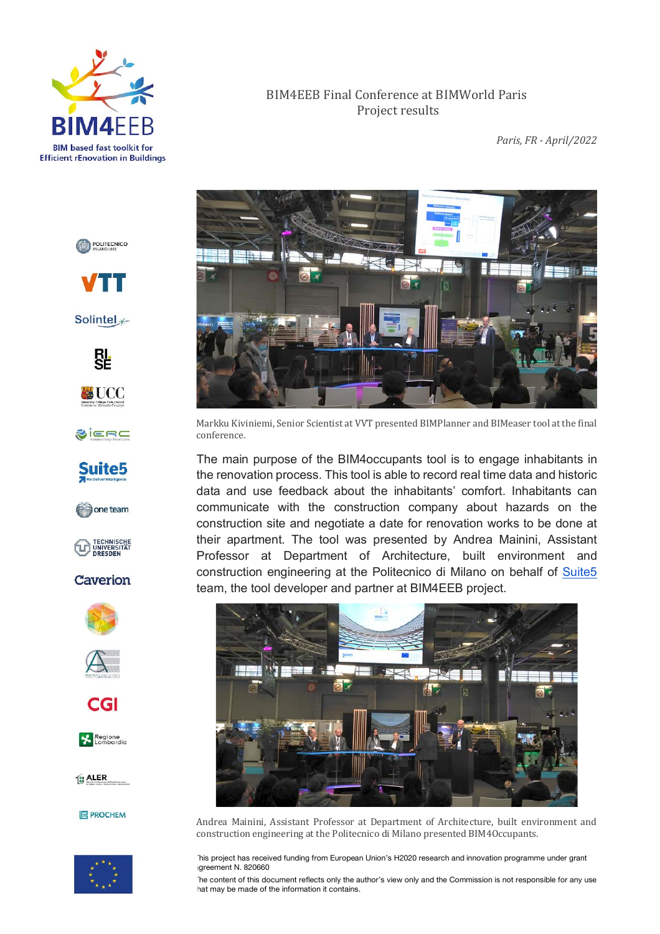

*Paris, FR - April/2022*



Markku Kiviniemi, Senior Scientist at VVT presented BIMPlanner and BIMeaser tool at the final conference.

The main purpose of the BIM4occupants tool is to engage inhabitants in the renovation process. This tool is able to record real time data and historic data and use feedback about the inhabitants' comfort. Inhabitants can communicate with the construction company about hazards on the construction site and negotiate a date for renovation works to be done at their apartment. The tool was presented by Andrea Mainini, Assistant Professor at Department of Architecture, built environment and construction engineering at the Politecnico di Milano on behalf of Suite5 team, the tool developer and partner at BIM4EEB project.



Andrea Mainini, Assistant Professor at Department of Architecture, built environment and construction engineering at the Politecnico di Milano presented BIM4Occupants.

This project has received funding from European Union's H2020 research and innovation programme under grant greement N. 820660

The content of this document reflects only the author's view only and the Commission is not responsible for any use hat may be made of the information it contains.





Solintel<sub>\*</sub>